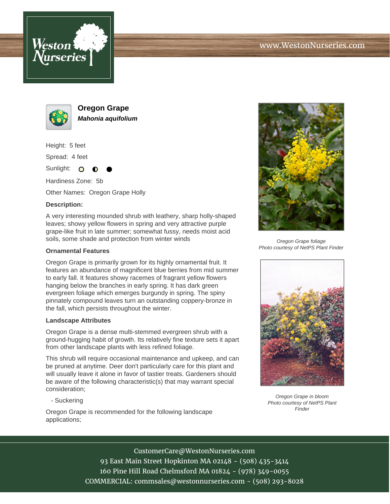



**Oregon Grape Mahonia aquifolium**

Height: 5 feet

Spread: 4 feet

Sunlight: O

Hardiness Zone: 5b

Other Names: Oregon Grape Holly

# **Description:**

A very interesting mounded shrub with leathery, sharp holly-shaped leaves; showy yellow flowers in spring and very attractive purple grape-like fruit in late summer; somewhat fussy, needs moist acid soils, some shade and protection from winter winds

### **Ornamental Features**

Oregon Grape is primarily grown for its highly ornamental fruit. It features an abundance of magnificent blue berries from mid summer to early fall. It features showy racemes of fragrant yellow flowers hanging below the branches in early spring. It has dark green evergreen foliage which emerges burgundy in spring. The spiny pinnately compound leaves turn an outstanding coppery-bronze in the fall, which persists throughout the winter.

#### **Landscape Attributes**

Oregon Grape is a dense multi-stemmed evergreen shrub with a ground-hugging habit of growth. Its relatively fine texture sets it apart from other landscape plants with less refined foliage.

This shrub will require occasional maintenance and upkeep, and can be pruned at anytime. Deer don't particularly care for this plant and will usually leave it alone in favor of tastier treats. Gardeners should be aware of the following characteristic(s) that may warrant special consideration;

- Suckering

Oregon Grape is recommended for the following landscape applications;



Oregon Grape foliage Photo courtesy of NetPS Plant Finder



Oregon Grape in bloom Photo courtesy of NetPS Plant Finder

### CustomerCare@WestonNurseries.com

93 East Main Street Hopkinton MA 02148 - (508) 435-3414 160 Pine Hill Road Chelmsford MA 01824 - (978) 349-0055 COMMERCIAL: commsales@westonnurseries.com - (508) 293-8028